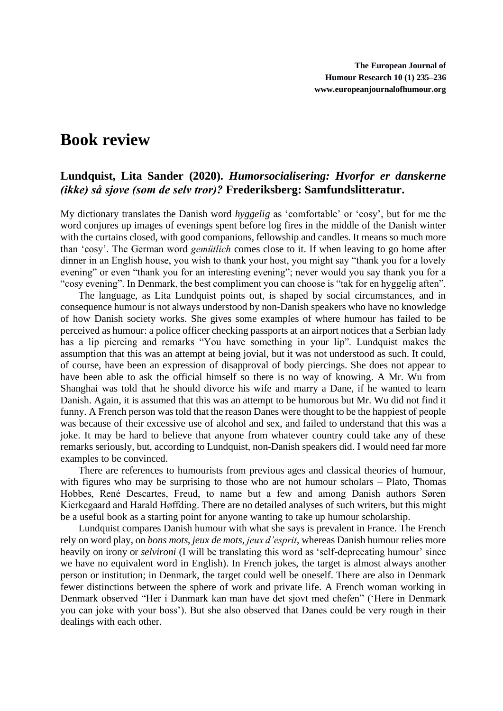## **Book review**

## **Lundquist, Lita Sander (2020).** *Humorsocialisering: Hvorfor er danskerne (ikke) så sjove (som de selv tror)?* **Frederiksberg: Samfundslitteratur.**

My dictionary translates the Danish word *hyggelig* as 'comfortable' or 'cosy', but for me the word conjures up images of evenings spent before log fires in the middle of the Danish winter with the curtains closed, with good companions, fellowship and candles. It means so much more than 'cosy'. The German word *gemütlich* comes close to it. If when leaving to go home after dinner in an English house, you wish to thank your host, you might say "thank you for a lovely evening" or even "thank you for an interesting evening"; never would you say thank you for a "cosy evening". In Denmark, the best compliment you can choose is "tak for en hyggelig aften".

The language, as Lita Lundquist points out, is shaped by social circumstances, and in consequence humour is not always understood by non-Danish speakers who have no knowledge of how Danish society works. She gives some examples of where humour has failed to be perceived as humour: a police officer checking passports at an airport notices that a Serbian lady has a lip piercing and remarks "You have something in your lip". Lundquist makes the assumption that this was an attempt at being jovial, but it was not understood as such. It could, of course, have been an expression of disapproval of body piercings. She does not appear to have been able to ask the official himself so there is no way of knowing. A Mr. Wu from Shanghai was told that he should divorce his wife and marry a Dane, if he wanted to learn Danish. Again, it is assumed that this was an attempt to be humorous but Mr. Wu did not find it funny. A French person was told that the reason Danes were thought to be the happiest of people was because of their excessive use of alcohol and sex, and failed to understand that this was a joke. It may be hard to believe that anyone from whatever country could take any of these remarks seriously, but, according to Lundquist, non-Danish speakers did. I would need far more examples to be convinced.

There are references to humourists from previous ages and classical theories of humour, with figures who may be surprising to those who are not humour scholars – Plato, Thomas Hobbes, René Descartes, Freud, to name but a few and among Danish authors Søren Kierkegaard and Harald Høffding. There are no detailed analyses of such writers, but this might be a useful book as a starting point for anyone wanting to take up humour scholarship.

Lundquist compares Danish humour with what she says is prevalent in France. The French rely on word play, on *bons mots*, *jeux de mots*, *jeux d'esprit*, whereas Danish humour relies more heavily on irony or *selvironi* (I will be translating this word as 'self-deprecating humour' since we have no equivalent word in English). In French jokes, the target is almost always another person or institution; in Denmark, the target could well be oneself. There are also in Denmark fewer distinctions between the sphere of work and private life. A French woman working in Denmark observed "Her i Danmark kan man have det sjovt med chefen" ('Here in Denmark you can joke with your boss'). But she also observed that Danes could be very rough in their dealings with each other.